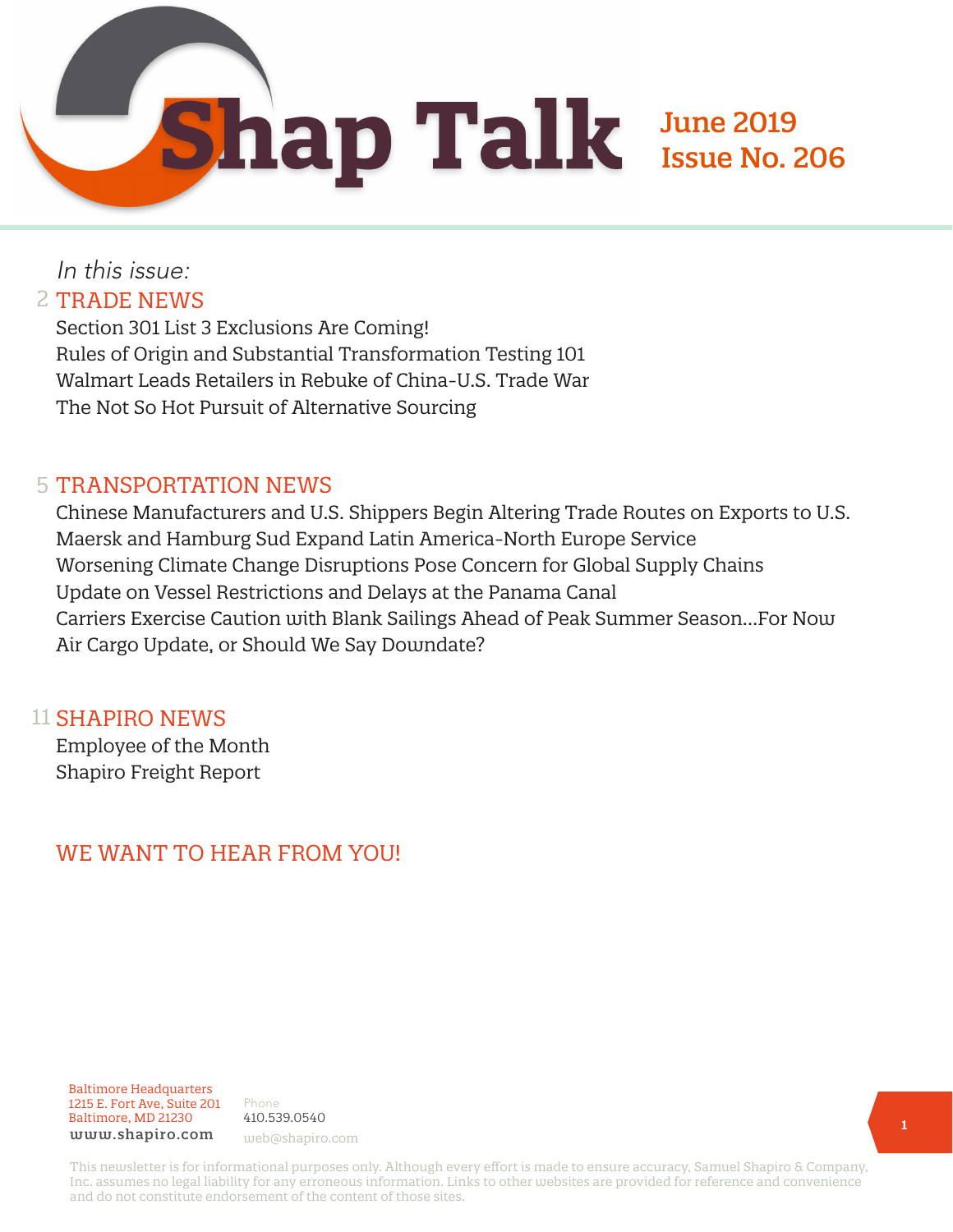June 2019 Issue No. 206

## In this issue: 2 TRADE NEWS

Section 301 List 3 Exclusions Are Coming! Rules of Origin and Substantial Transformation Testing 101 Walmart Leads Retailers in Rebuke of China-U.S. Trade War The Not So Hot Pursuit of Alternative Sourcing

### 5 TRANSPORTATION NEWS

Chinese Manufacturers and U.S. Shippers Begin Altering Trade Routes on Exports to U.S. Maersk and Hamburg Sud Expand Latin America-North Europe Service Worsening Climate Change Disruptions Pose Concern for Global Supply Chains Update on Vessel Restrictions and Delays at the Panama Canal Carriers Exercise Caution with Blank Sailings Ahead of Peak Summer Season…For Now Air Cargo Update, or Should We Say Downdate?

#### 11 SHAPIRO NEWS

Employee of the Month Shapiro Freight Report

## WE WANT TO HEAR FROM YOU!

#### Baltimore Headquarters 1215 E. Fort Ave, Suite 201 Baltimore, MD 21230 www.shapiro.com web@shapiro.com

Phone 410.539.0540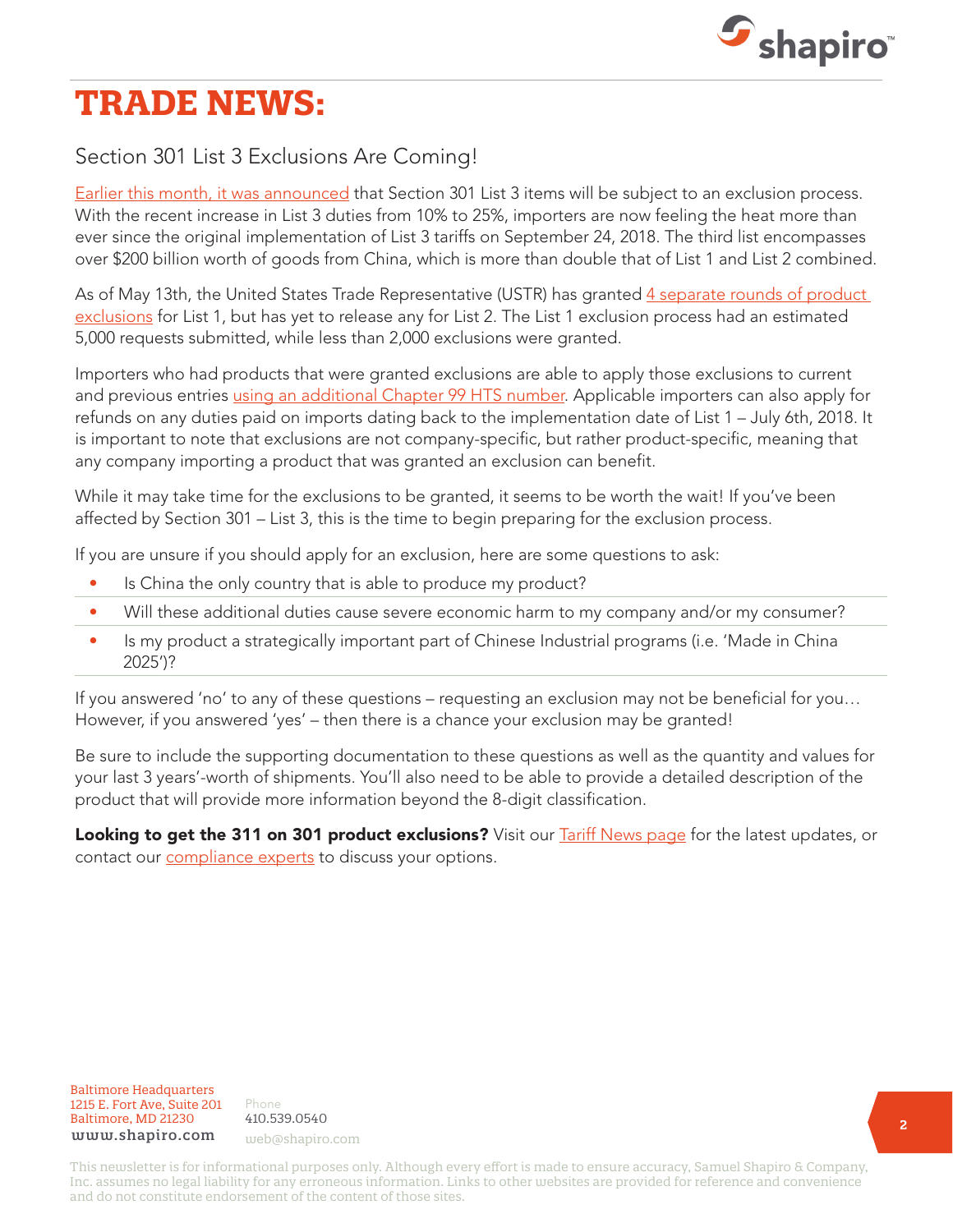

# **TRADE NEWS:**

## Section 301 List 3 Exclusions Are Coming!

[Earlier this month, it was announced](https://www.shapiro.com/alerts/ustr-section-301-list-3-exclusion-process-details-unofficial/) that Section 301 List 3 items will be subject to an exclusion process. With the recent increase in List 3 duties from 10% to 25%, importers are now feeling the heat more than ever since the original implementation of List 3 tariffs on September 24, 2018. The third list encompasses over \$200 billion worth of goods from China, which is more than double that of List 1 and List 2 combined.

As of May 13th, the United States Trade Representative (USTR) has granted 4 separate rounds of product [exclusions](https://www.shapiro.com/alerts/fourth-round-section-301-list-1-exclusions/) for List 1, but has yet to release any for List 2. The List 1 exclusion process had an estimated 5,000 requests submitted, while less than 2,000 exclusions were granted.

Importers who had products that were granted exclusions are able to apply those exclusions to current and previous entries [using an additional Chapter 99 HTS number.](https://www.shapiro.com/alerts/cbp-corrects-ace-programming-tariff-increases/) Applicable importers can also apply for refunds on any duties paid on imports dating back to the implementation date of List 1 – July 6th, 2018. It is important to note that exclusions are not company-specific, but rather product-specific, meaning that any company importing a product that was granted an exclusion can benefit.

While it may take time for the exclusions to be granted, it seems to be worth the wait! If you've been affected by Section 301 – List 3, this is the time to begin preparing for the exclusion process.

If you are unsure if you should apply for an exclusion, here are some questions to ask:

- Is China the only country that is able to produce my product?
- Will these additional duties cause severe economic harm to my company and/or my consumer?
- Is my product a strategically important part of Chinese Industrial programs (i.e. 'Made in China 2025')?

If you answered 'no' to any of these questions – requesting an exclusion may not be beneficial for you… However, if you answered 'yes' – then there is a chance your exclusion may be granted!

Be sure to include the supporting documentation to these questions as well as the quantity and values for your last 3 years'-worth of shipments. You'll also need to be able to provide a detailed description of the product that will provide more information beyond the 8-digit classification.

Looking to get the 311 on 301 product exclusions? Visit our **Tariff News page** for the latest updates, or contact our [compliance experts](mailto:compliance@shapiro.com) to discuss your options.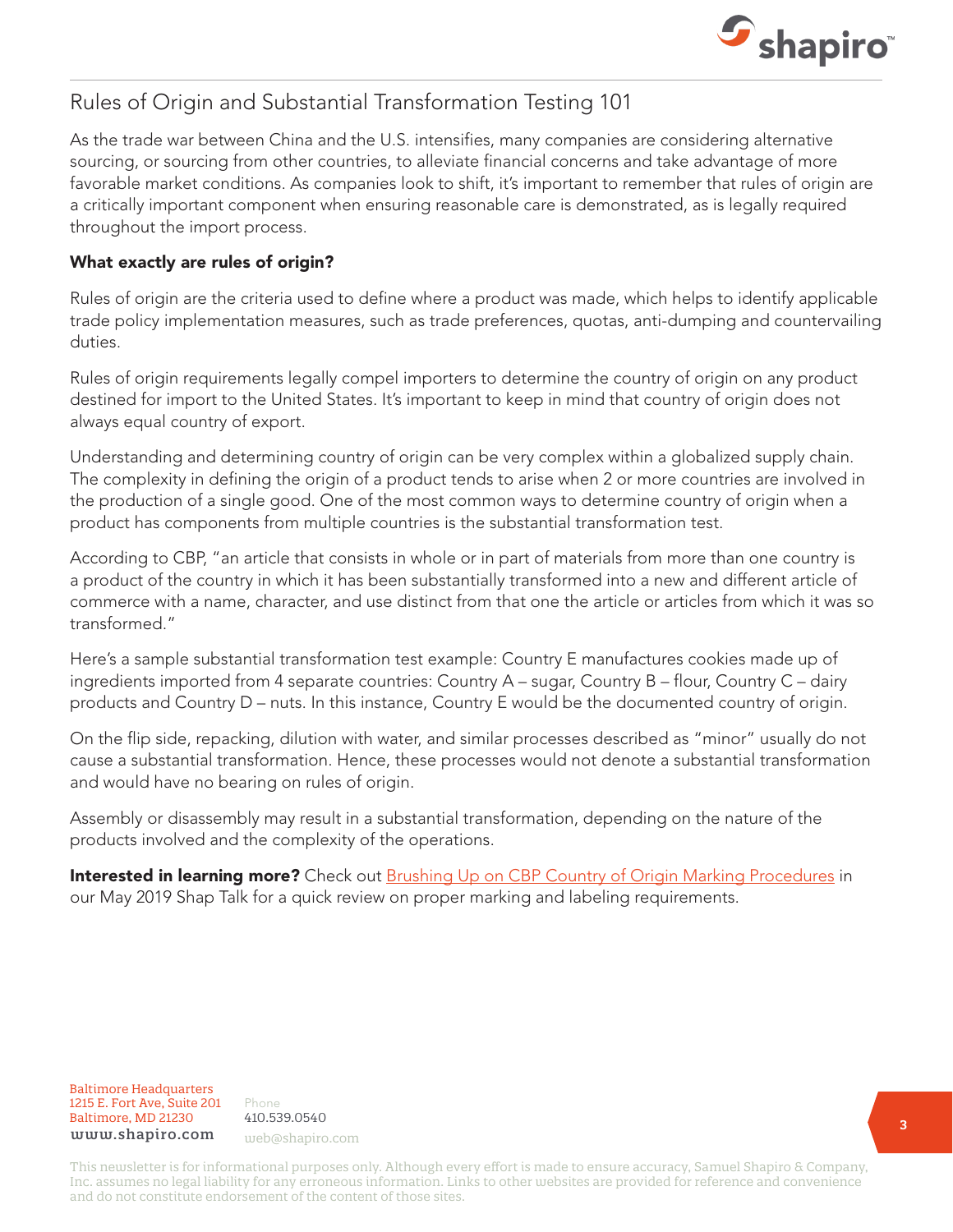

### Rules of Origin and Substantial Transformation Testing 101

As the trade war between China and the U.S. intensifies, many companies are considering alternative sourcing, or sourcing from other countries, to alleviate financial concerns and take advantage of more favorable market conditions. As companies look to shift, it's important to remember that rules of origin are a critically important component when ensuring reasonable care is demonstrated, as is legally required throughout the import process.

#### What exactly are rules of origin?

Rules of origin are the criteria used to define where a product was made, which helps to identify applicable trade policy implementation measures, such as trade preferences, quotas, anti-dumping and countervailing duties.

Rules of origin requirements legally compel importers to determine the country of origin on any product destined for import to the United States. It's important to keep in mind that country of origin does not always equal country of export.

Understanding and determining country of origin can be very complex within a globalized supply chain. The complexity in defining the origin of a product tends to arise when 2 or more countries are involved in the production of a single good. One of the most common ways to determine country of origin when a product has components from multiple countries is the substantial transformation test.

According to CBP, "an article that consists in whole or in part of materials from more than one country is a product of the country in which it has been substantially transformed into a new and different article of commerce with a name, character, and use distinct from that one the article or articles from which it was so transformed."

Here's a sample substantial transformation test example: Country E manufactures cookies made up of ingredients imported from 4 separate countries: Country A – sugar, Country B – flour, Country C – dairy products and Country D – nuts. In this instance, Country E would be the documented country of origin.

On the flip side, repacking, dilution with water, and similar processes described as "minor" usually do not cause a substantial transformation. Hence, these processes would not denote a substantial transformation and would have no bearing on rules of origin.

Assembly or disassembly may result in a substantial transformation, depending on the nature of the products involved and the complexity of the operations.

Interested in learning more? Check out [Brushing Up on CBP Country of Origin Marking Procedures](https://www.shapiro.com/newsletters/may-2019-issue-205/#st-2) in our May 2019 Shap Talk for a quick review on proper marking and labeling requirements.

Baltimore Headquarters Baltimore Headquarters<br>1215 E. F 1215 E. Fort Ave, Suite 201 www.shapiro.com <sub>web@shapiro.com</sub> Baltimore, MD 21230

Phone Phone rnone<br>410.539.0540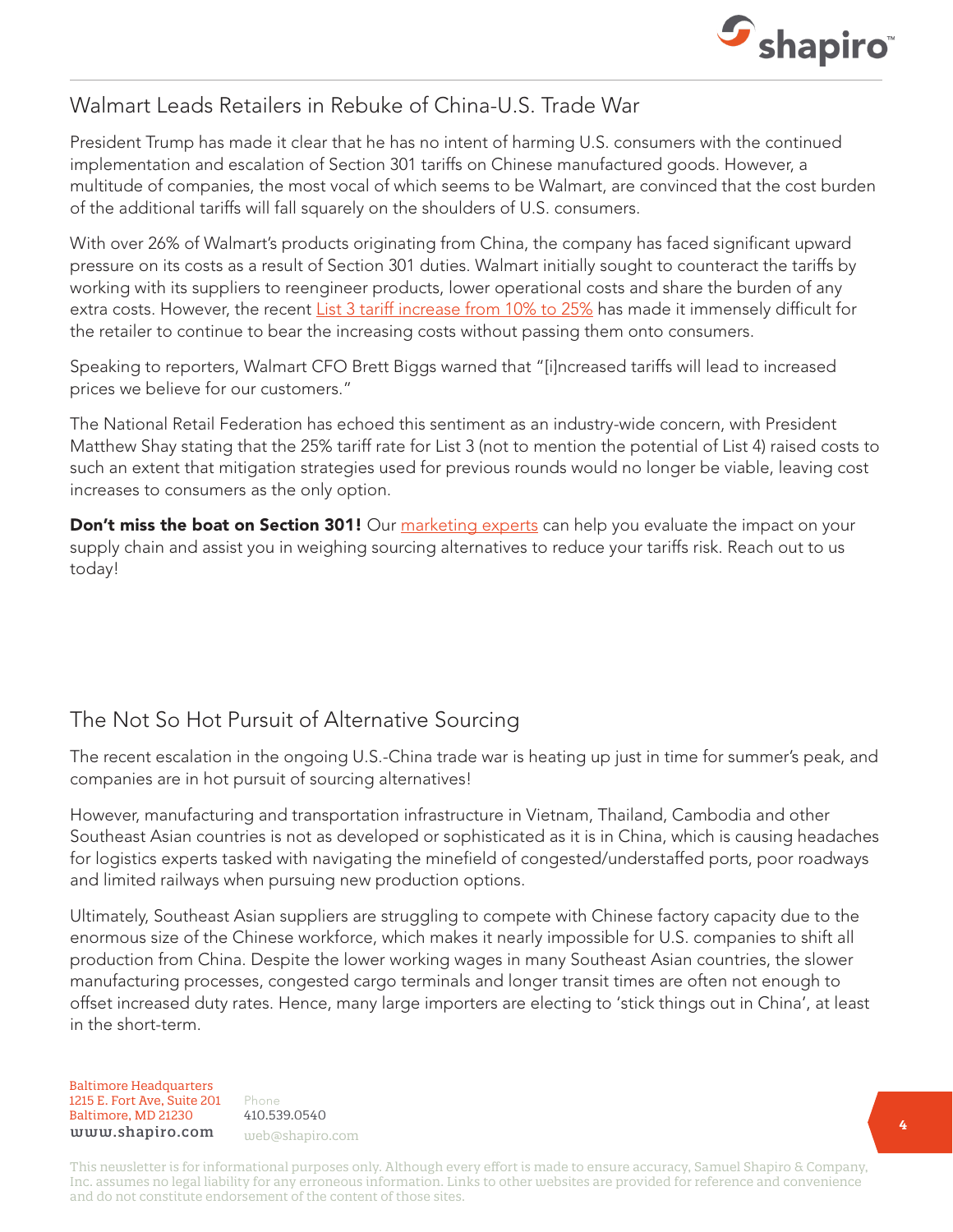

## Walmart Leads Retailers in Rebuke of China-U.S. Trade War

President Trump has made it clear that he has no intent of harming U.S. consumers with the continued implementation and escalation of Section 301 tariffs on Chinese manufactured goods. However, a multitude of companies, the most vocal of which seems to be Walmart, are convinced that the cost burden of the additional tariffs will fall squarely on the shoulders of U.S. consumers.

With over 26% of Walmart's products originating from China, the company has faced significant upward pressure on its costs as a result of Section 301 duties. Walmart initially sought to counteract the tariffs by working with its suppliers to reengineer products, lower operational costs and share the burden of any extra costs. However, the recent [List 3 tariff increase from 10% to 25%](https://www.shapiro.com/alerts/us-china-section-301-list-3-tariffs-increase/) has made it immensely difficult for the retailer to continue to bear the increasing costs without passing them onto consumers.

Speaking to reporters, Walmart CFO Brett Biggs warned that "[i]ncreased tariffs will lead to increased prices we believe for our customers."

The National Retail Federation has echoed this sentiment as an industry-wide concern, with President Matthew Shay stating that the 25% tariff rate for List 3 (not to mention the potential of List 4) raised costs to such an extent that mitigation strategies used for previous rounds would no longer be viable, leaving cost increases to consumers as the only option.

Don't miss the boat on Section 301! Our [marketing experts](mailto:web@shapiro.com) can help you evaluate the impact on your supply chain and assist you in weighing sourcing alternatives to reduce your tariffs risk. Reach out to us today!

## The Not So Hot Pursuit of Alternative Sourcing

The recent escalation in the ongoing U.S.-China trade war is heating up just in time for summer's peak, and companies are in hot pursuit of sourcing alternatives!

However, manufacturing and transportation infrastructure in Vietnam, Thailand, Cambodia and other Southeast Asian countries is not as developed or sophisticated as it is in China, which is causing headaches for logistics experts tasked with navigating the minefield of congested/understaffed ports, poor roadways and limited railways when pursuing new production options.

Ultimately, Southeast Asian suppliers are struggling to compete with Chinese factory capacity due to the enormous size of the Chinese workforce, which makes it nearly impossible for U.S. companies to shift all production from China. Despite the lower working wages in many Southeast Asian countries, the slower manufacturing processes, congested cargo terminals and longer transit times are often not enough to offset increased duty rates. Hence, many large importers are electing to 'stick things out in China', at least in the short-term.

#### Baltimore Headquarters Baltimore Headquarters 1215 E. Fort Ave, Suite 201 1215 E. Fort Ave, Suite 201 Baltimore, MD 21201 Baltimore, MD 21230 www.shapiro.com web@shapiro.com

Phone Phone 410.539.0540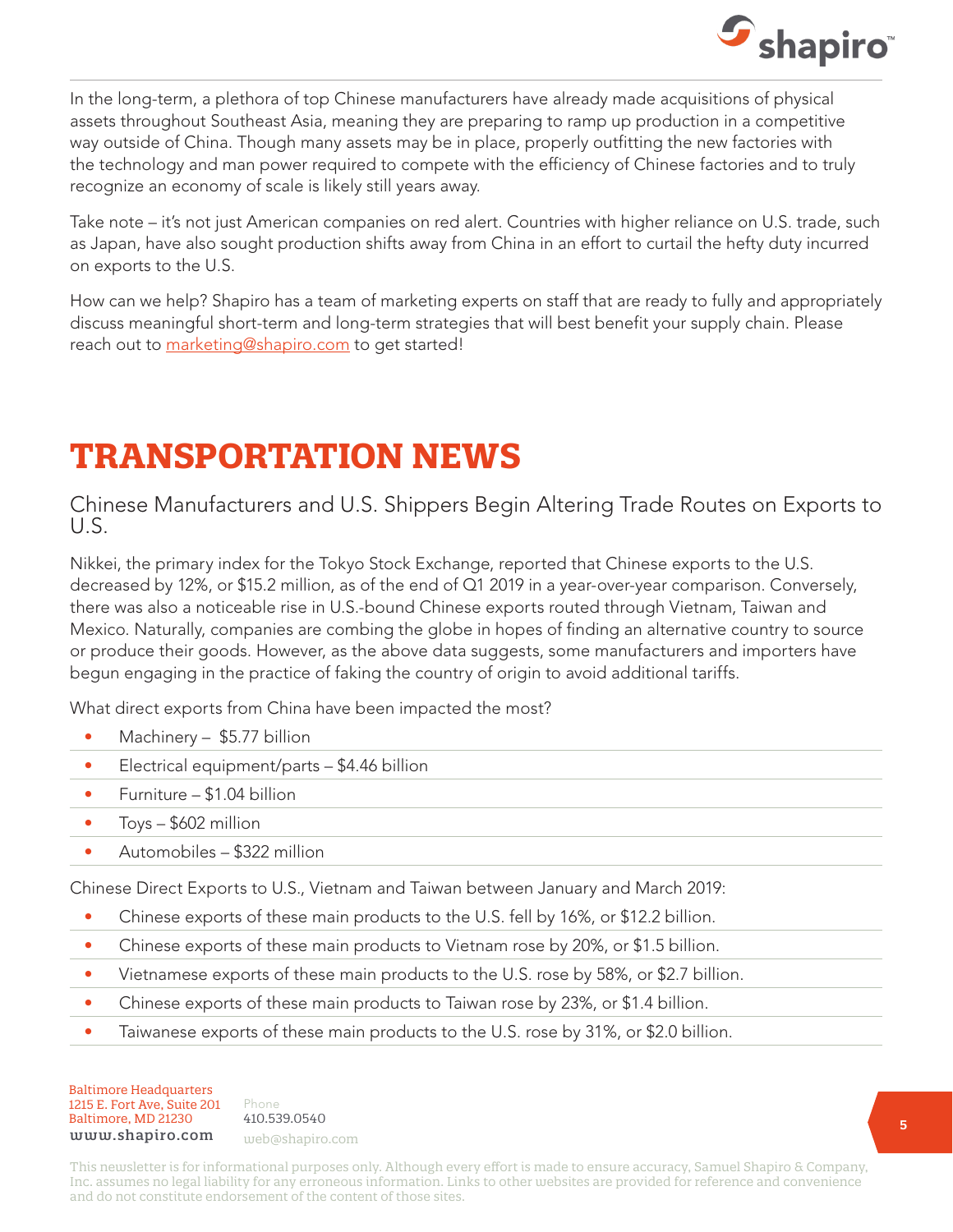

In the long-term, a plethora of top Chinese manufacturers have already made acquisitions of physical assets throughout Southeast Asia, meaning they are preparing to ramp up production in a competitive way outside of China. Though many assets may be in place, properly outfitting the new factories with the technology and man power required to compete with the efficiency of Chinese factories and to truly recognize an economy of scale is likely still years away.

Take note – it's not just American companies on red alert. Countries with higher reliance on U.S. trade, such as Japan, have also sought production shifts away from China in an effort to curtail the hefty duty incurred on exports to the U.S.

How can we help? Shapiro has a team of marketing experts on staff that are ready to fully and appropriately discuss meaningful short-term and long-term strategies that will best benefit your supply chain. Please reach out to [marketing@shapiro.com](mailto:marketing@shapiro.com) to get started!

# **TRANSPORTATION NEWS**

Chinese Manufacturers and U.S. Shippers Begin Altering Trade Routes on Exports to U.S.

Nikkei, the primary index for the Tokyo Stock Exchange, reported that Chinese exports to the U.S. decreased by 12%, or \$15.2 million, as of the end of Q1 2019 in a year-over-year comparison. Conversely, there was also a noticeable rise in U.S.-bound Chinese exports routed through Vietnam, Taiwan and Mexico. Naturally, companies are combing the globe in hopes of finding an alternative country to source or produce their goods. However, as the above data suggests, some manufacturers and importers have begun engaging in the practice of faking the country of origin to avoid additional tariffs.

What direct exports from China have been impacted the most?

- Machinery \$5.77 billion
- Electrical equipment/parts \$4.46 billion
- Furniture \$1.04 billion
- Toys \$602 million
- Automobiles \$322 million

Chinese Direct Exports to U.S., Vietnam and Taiwan between January and March 2019:

- Chinese exports of these main products to the U.S. fell by 16%, or \$12.2 billion.
- Chinese exports of these main products to Vietnam rose by 20%, or \$1.5 billion.
- Vietnamese exports of these main products to the U.S. rose by 58%, or \$2.7 billion.
- Chinese exports of these main products to Taiwan rose by 23%, or \$1.4 billion.
- Taiwanese exports of these main products to the U.S. rose by 31%, or \$2.0 billion.

Baltimore Headquarters Baltimore Headquarters 1215 E. Fort Ave, Suite 201 www.shapiro.com <sub>web@shapiro.com</sub> Baltimore, MD 21230

Phone Phone rnone<br>410.539.0540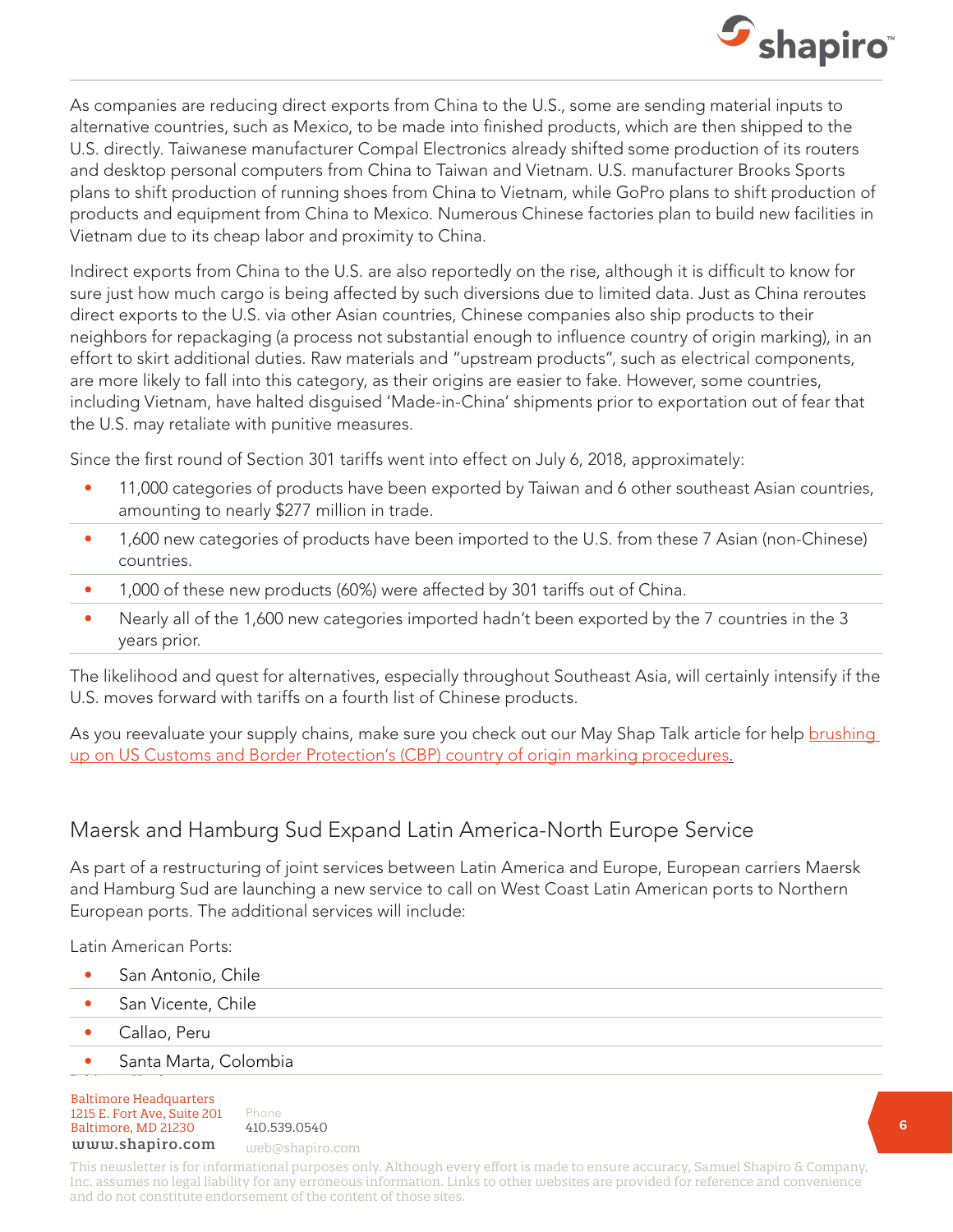

As companies are reducing direct exports from China to the U.S., some are sending material inputs to alternative countries, such as Mexico, to be made into finished products, which are then shipped to the U.S. directly. Taiwanese manufacturer Compal Electronics already shifted some production of its routers and desktop personal computers from China to Taiwan and Vietnam. U.S. manufacturer Brooks Sports plans to shift production of running shoes from China to Vietnam, while GoPro plans to shift production of products and equipment from China to Mexico. Numerous Chinese factories plan to build new facilities in Vietnam due to its cheap labor and proximity to China.

Indirect exports from China to the U.S. are also reportedly on the rise, although it is difficult to know for sure just how much cargo is being affected by such diversions due to limited data. Just as China reroutes direct exports to the U.S. via other Asian countries, Chinese companies also ship products to their neighbors for repackaging (a process not substantial enough to influence country of origin marking), in an effort to skirt additional duties. Raw materials and "upstream products", such as electrical components, are more likely to fall into this category, as their origins are easier to fake. However, some countries, including Vietnam, have halted disguised 'Made-in-China' shipments prior to exportation out of fear that the U.S. may retaliate with punitive measures.

Since the first round of Section 301 tariffs went into effect on July 6, 2018, approximately:

- 11,000 categories of products have been exported by Taiwan and 6 other southeast Asian countries, amounting to nearly \$277 million in trade.
- 1,600 new categories of products have been imported to the U.S. from these 7 Asian (non-Chinese) countries.
- 1,000 of these new products (60%) were affected by 301 tariffs out of China.
- Nearly all of the 1,600 new categories imported hadn't been exported by the 7 countries in the 3 years prior.

The likelihood and quest for alternatives, especially throughout Southeast Asia, will certainly intensify if the U.S. moves forward with tariffs on a fourth list of Chinese products.

As you reevaluate your supply chains, make sure you check out our May Shap Talk article for help brushing [up on US Customs and Border Protection's \(CBP\) country of origin marking procedures.](https://www.shapiro.com/newsletters/may-2019-issue-205/#st-2)

#### Maersk and Hamburg Sud Expand Latin America-North Europe Service

As part of a restructuring of joint services between Latin America and Europe, European carriers Maersk and Hamburg Sud are launching a new service to call on West Coast Latin American ports to Northern European ports. The additional services will include:

Latin American Ports:

- San Antonio, Chile
- San Vicente, Chile
- Callao, Peru
- Santa Marta, Colombia

Baltimore Headquarters 1215 E. Fort Ave, Suite 201 Baltimore, MD 21230 410.539.0540 www.shapiro.com web@shapiro.com

Phone 410.539.0540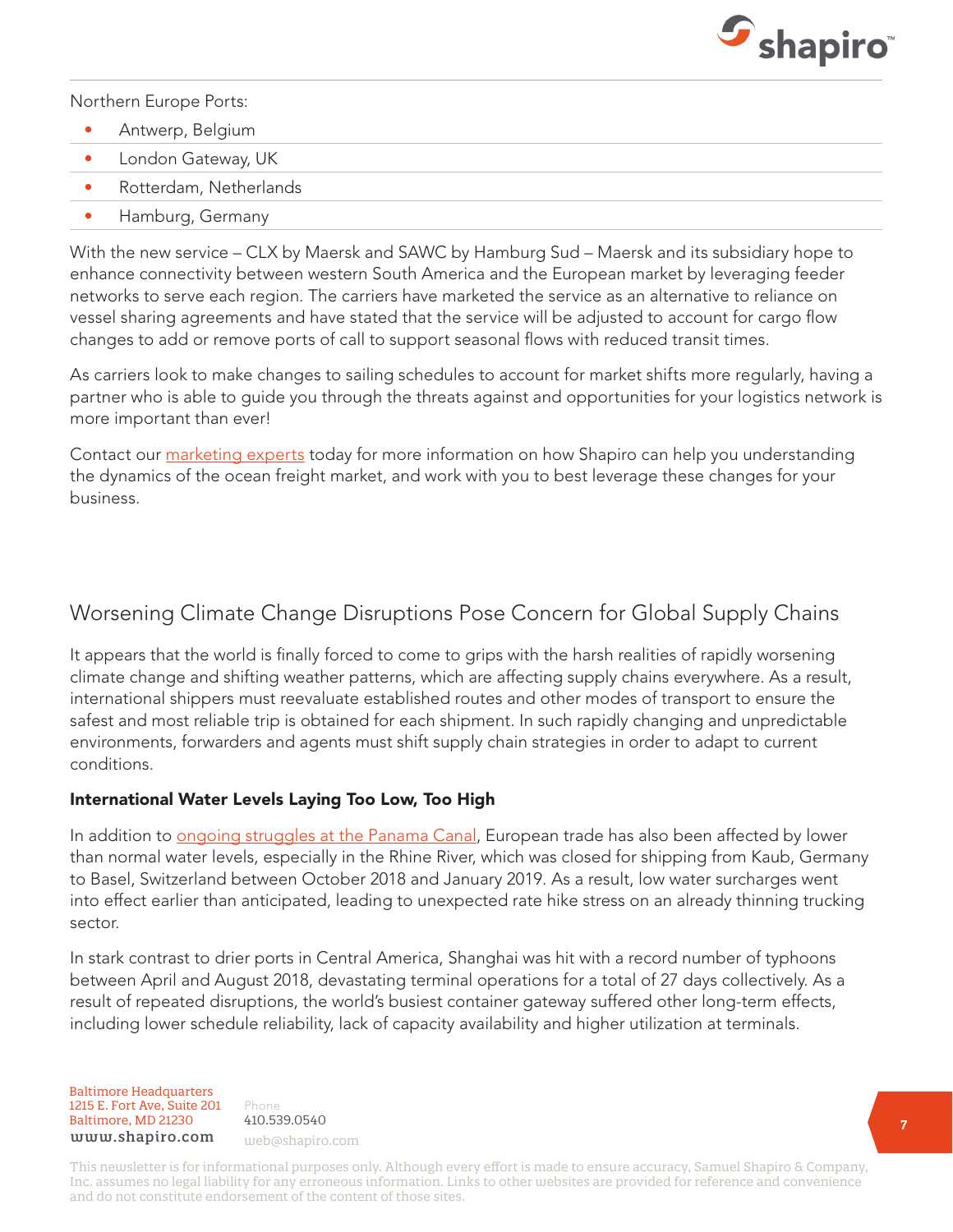

Northern Europe Ports:

- Antwerp, Belgium
- London Gateway, UK
- Rotterdam, Netherlands
- Hamburg, Germany

With the new service – CLX by Maersk and SAWC by Hamburg Sud – Maersk and its subsidiary hope to enhance connectivity between western South America and the European market by leveraging feeder networks to serve each region. The carriers have marketed the service as an alternative to reliance on vessel sharing agreements and have stated that the service will be adjusted to account for cargo flow changes to add or remove ports of call to support seasonal flows with reduced transit times.

As carriers look to make changes to sailing schedules to account for market shifts more regularly, having a partner who is able to guide you through the threats against and opportunities for your logistics network is more important than ever!

Contact our [marketing experts](mailto:web@shapiro.com) today for more information on how Shapiro can help you understanding the dynamics of the ocean freight market, and work with you to best leverage these changes for your business.

#### Worsening Climate Change Disruptions Pose Concern for Global Supply Chains

It appears that the world is finally forced to come to grips with the harsh realities of rapidly worsening climate change and shifting weather patterns, which are affecting supply chains everywhere. As a result, international shippers must reevaluate established routes and other modes of transport to ensure the safest and most reliable trip is obtained for each shipment. In such rapidly changing and unpredictable environments, forwarders and agents must shift supply chain strategies in order to adapt to current conditions.

#### International Water Levels Laying Too Low, Too High

In addition to [ongoing struggles at the Panama Canal](https://www.shapiro.com/alerts/vessel-restrictions-delays-panama-canal/), European trade has also been affected by lower than normal water levels, especially in the Rhine River, which was closed for shipping from Kaub, Germany to Basel, Switzerland between October 2018 and January 2019. As a result, low water surcharges went into effect earlier than anticipated, leading to unexpected rate hike stress on an already thinning trucking sector.

In stark contrast to drier ports in Central America, Shanghai was hit with a record number of typhoons between April and August 2018, devastating terminal operations for a total of 27 days collectively. As a result of repeated disruptions, the world's busiest container gateway suffered other long-term effects, including lower schedule reliability, lack of capacity availability and higher utilization at terminals.

Baltimore Headquarters Baltimore Headquarters 1215 E. Fort Ave, Suite 201 www.shapiro.com web@shapiro.com Baltimore, MD 21230

Phone 410.539.0540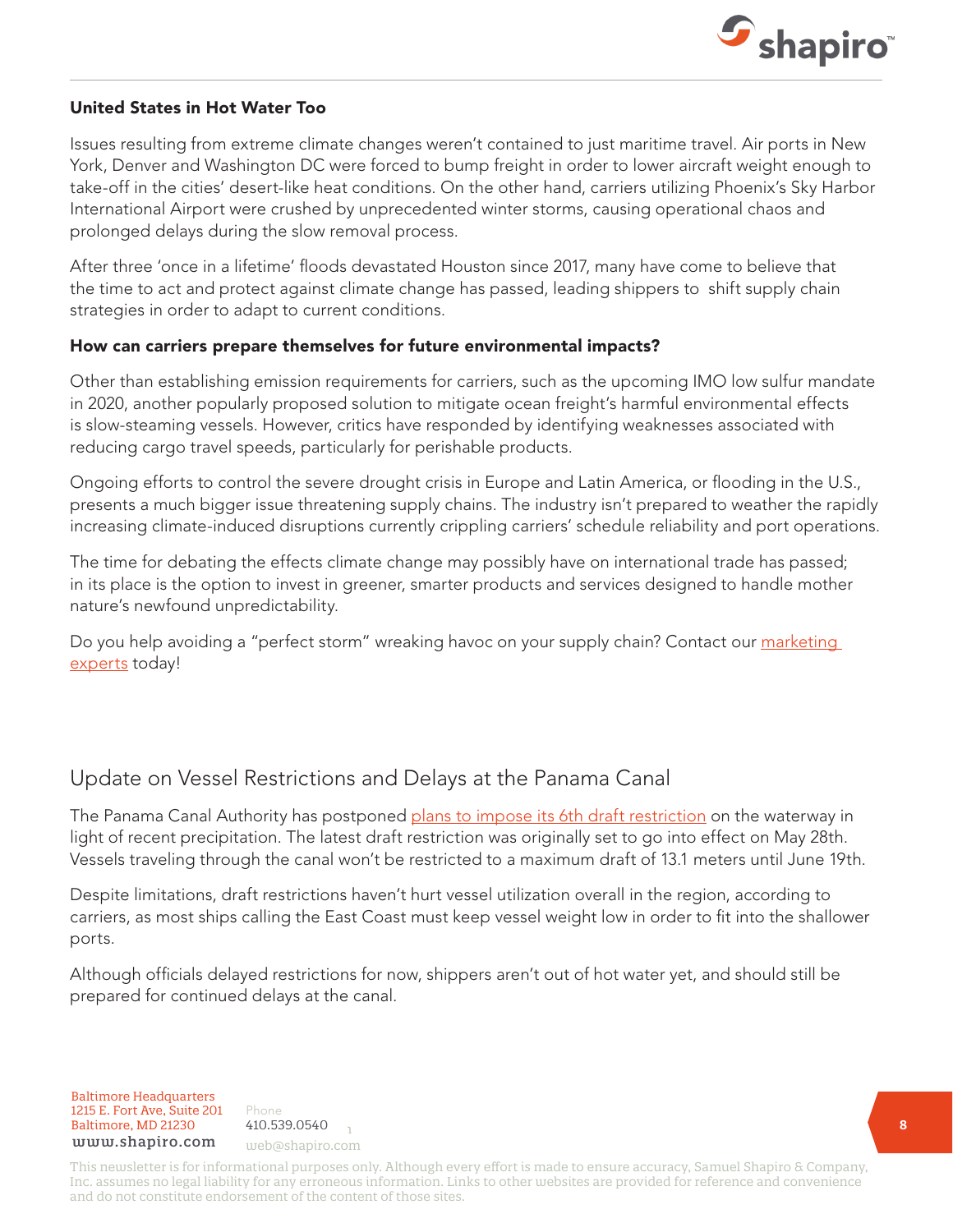

#### United States in Hot Water Too

Issues resulting from extreme climate changes weren't contained to just maritime travel. Air ports in New York, Denver and Washington DC were forced to bump freight in order to lower aircraft weight enough to take-off in the cities' desert-like heat conditions. On the other hand, carriers utilizing Phoenix's Sky Harbor International Airport were crushed by unprecedented winter storms, causing operational chaos and prolonged delays during the slow removal process.

After three 'once in a lifetime' floods devastated Houston since 2017, many have come to believe that the time to act and protect against climate change has passed, leading shippers to shift supply chain strategies in order to adapt to current conditions.

#### How can carriers prepare themselves for future environmental impacts?

Other than establishing emission requirements for carriers, such as the upcoming IMO low sulfur mandate in 2020, another popularly proposed solution to mitigate ocean freight's harmful environmental effects is slow-steaming vessels. However, critics have responded by identifying weaknesses associated with reducing cargo travel speeds, particularly for perishable products.

Ongoing efforts to control the severe drought crisis in Europe and Latin America, or flooding in the U.S., presents a much bigger issue threatening supply chains. The industry isn't prepared to weather the rapidly increasing climate-induced disruptions currently crippling carriers' schedule reliability and port operations.

The time for debating the effects climate change may possibly have on international trade has passed; in its place is the option to invest in greener, smarter products and services designed to handle mother nature's newfound unpredictability.

Do you help avoiding a "perfect storm" wreaking havoc on your supply chain? Contact our marketing [experts](mailto:web@shapiro.com) today!

### Update on Vessel Restrictions and Delays at the Panama Canal

The Panama Canal Authority has postponed [plans to impose its 6th draft restriction](https://www.shapiro.com/alerts/vessel-restrictions-delays-panama-canal/) on the waterway in light of recent precipitation. The latest draft restriction was originally set to go into effect on May 28th. Vessels traveling through the canal won't be restricted to a maximum draft of 13.1 meters until June 19th.

Despite limitations, draft restrictions haven't hurt vessel utilization overall in the region, according to carriers, as most ships calling the East Coast must keep vessel weight low in order to fit into the shallower ports.

Although officials delayed restrictions for now, shippers aren't out of hot water yet, and should still be prepared for continued delays at the canal.

Baltimore Headquarters 1215 E. Fort Ave, Suite 201 Baltimore, MD 21230  $410.539.0540$ www.shapiro.com web@shapiro.com

Phone 410.539.0540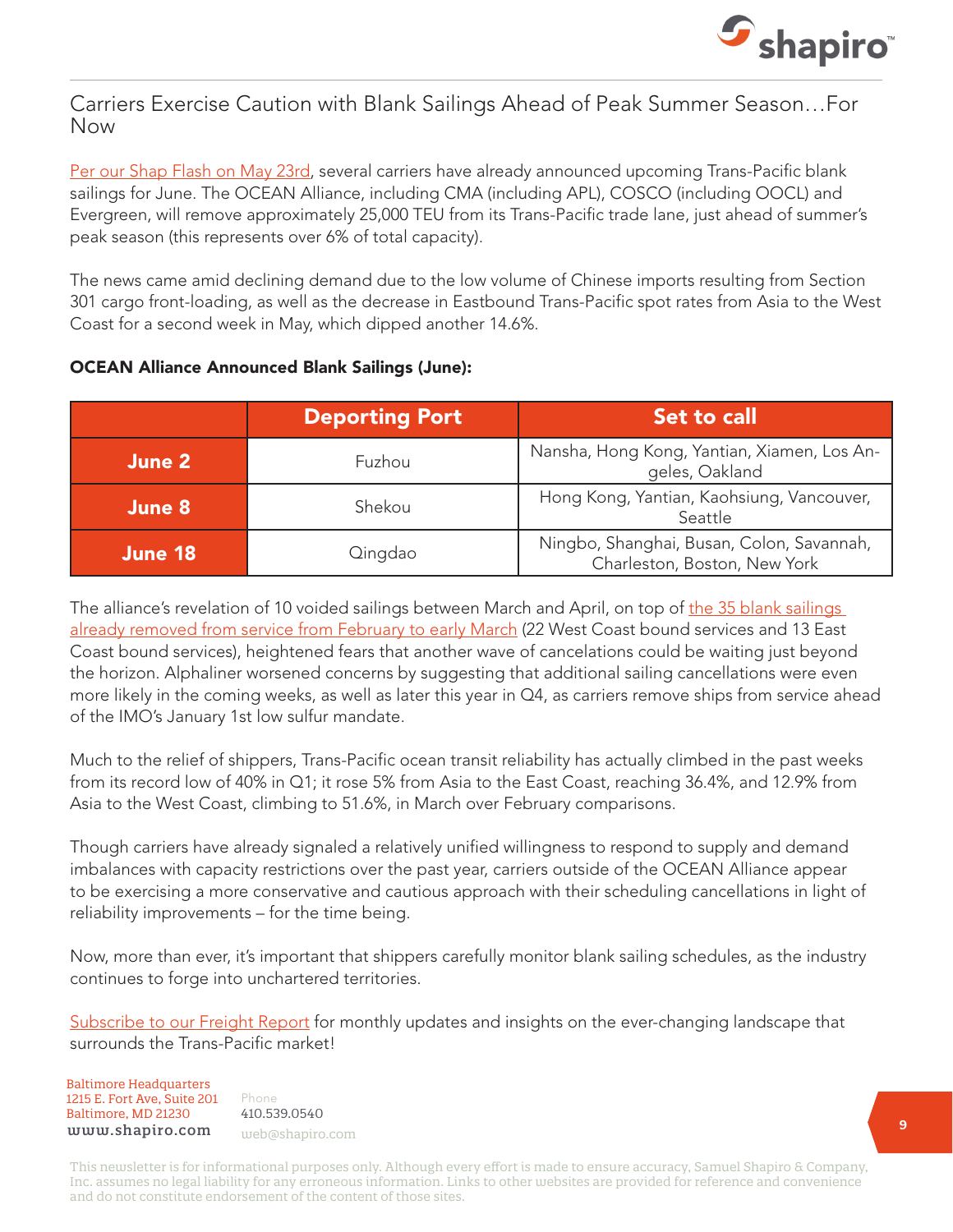

#### Carriers Exercise Caution with Blank Sailings Ahead of Peak Summer Season…For Now

[Per our Shap Flash on May 23rd](https://www.shapiro.com/alerts/carriers-transpacific-blank-sailings-june/), several carriers have already announced upcoming Trans-Pacific blank sailings for June. The OCEAN Alliance, including CMA (including APL), COSCO (including OOCL) and Evergreen, will remove approximately 25,000 TEU from its Trans-Pacific trade lane, just ahead of summer's peak season (this represents over 6% of total capacity).

The news came amid declining demand due to the low volume of Chinese imports resulting from Section 301 cargo front-loading, as well as the decrease in Eastbound Trans-Pacific spot rates from Asia to the West Coast for a second week in May, which dipped another 14.6%.

#### OCEAN Alliance Announced Blank Sailings (June):

|         | <b>Deporting Port</b> | Set to call                                                               |
|---------|-----------------------|---------------------------------------------------------------------------|
| June 2  | Fuzhou                | Nansha, Hong Kong, Yantian, Xiamen, Los An-<br>geles, Oakland             |
| June 8  | Shekou                | Hong Kong, Yantian, Kaohsiung, Vancouver,<br>Seattle                      |
| June 18 | Qingdao               | Ningbo, Shanghai, Busan, Colon, Savannah,<br>Charleston, Boston, New York |

The alliance's revelation of 10 voided sailings between March and April, on top of the 35 blank sailings [already removed from service from February to early March](https://www.shapiro.com/newsletters/april-2019-issue-204/#st-6) (22 West Coast bound services and 13 East Coast bound services), heightened fears that another wave of cancelations could be waiting just beyond the horizon. Alphaliner worsened concerns by suggesting that additional sailing cancellations were even more likely in the coming weeks, as well as later this year in Q4, as carriers remove ships from service ahead of the IMO's January 1st low sulfur mandate.

Much to the relief of shippers, Trans-Pacific ocean transit reliability has actually climbed in the past weeks from its record low of 40% in Q1; it rose 5% from Asia to the East Coast, reaching 36.4%, and 12.9% from Asia to the West Coast, climbing to 51.6%, in March over February comparisons.

Though carriers have already signaled a relatively unified willingness to respond to supply and demand imbalances with capacity restrictions over the past year, carriers outside of the OCEAN Alliance appear to be exercising a more conservative and cautious approach with their scheduling cancellations in light of reliability improvements – for the time being.

Now, more than ever, it's important that shippers carefully monitor blank sailing schedules, as the industry continues to forge into unchartered territories.

[Subscribe to our Freight Report](https://www.shapiro.com/subscription-center/) for monthly updates and insights on the ever-changing landscape that surrounds the Trans-Pacific market!

Baltimore Headquarters Baltimore Headquarters 1215 E. Fort Ave, Suite 201 1215 E. Fort Ave, Suite 201 Baltimore, MD 21230  ${\tt www.shapiro.com}$  web@shapiro.com

Phone Phone 410.539.0540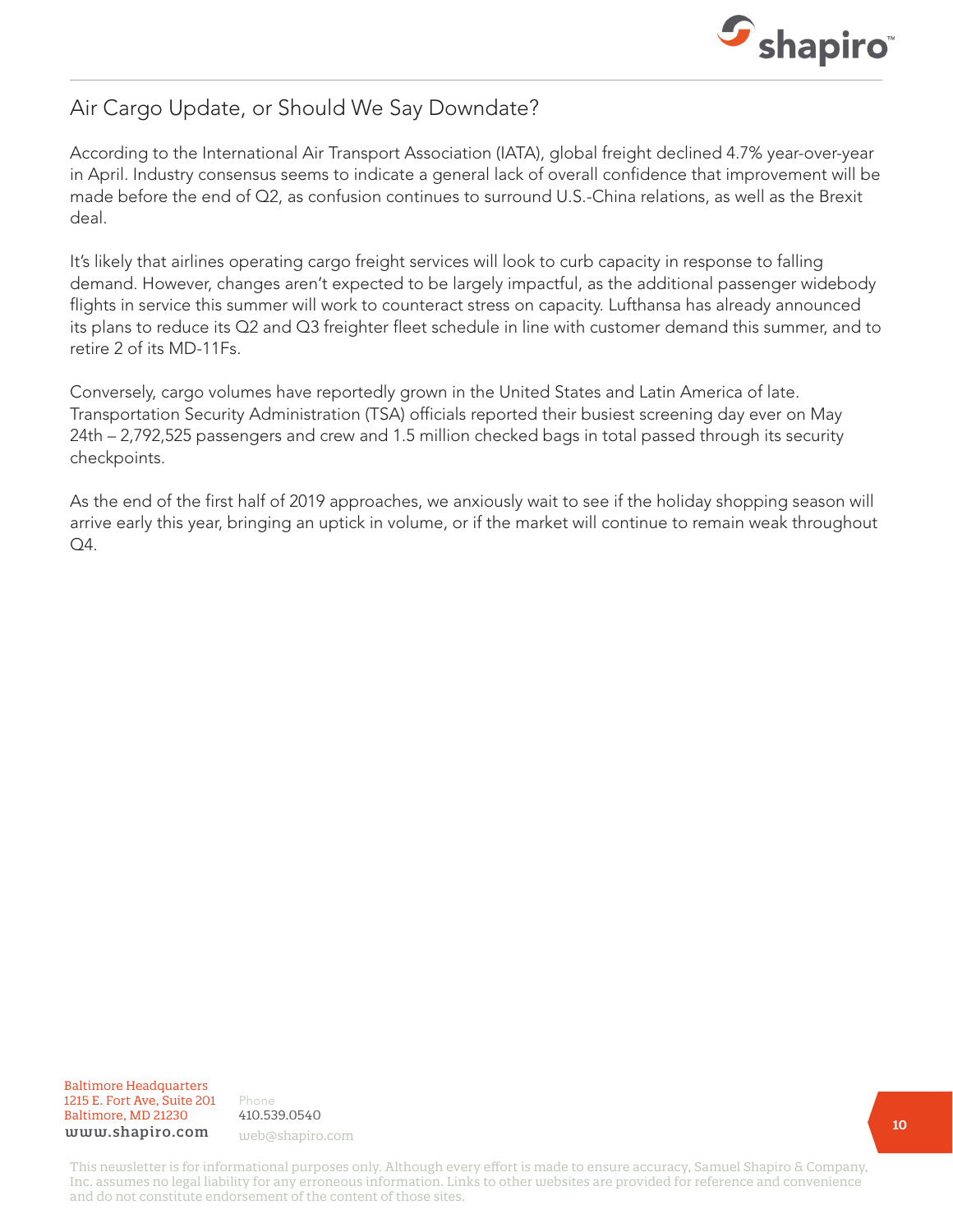

### Air Cargo Update, or Should We Say Downdate?

According to the International Air Transport Association (IATA), global freight declined 4.7% year-over-year in April. Industry consensus seems to indicate a general lack of overall confidence that improvement will be made before the end of Q2, as confusion continues to surround U.S.-China relations, as well as the Brexit deal.

It's likely that airlines operating cargo freight services will look to curb capacity in response to falling demand. However, changes aren't expected to be largely impactful, as the additional passenger widebody flights in service this summer will work to counteract stress on capacity. Lufthansa has already announced its plans to reduce its Q2 and Q3 freighter fleet schedule in line with customer demand this summer, and to retire 2 of its MD-11Fs.

Conversely, cargo volumes have reportedly grown in the United States and Latin America of late. Transportation Security Administration (TSA) officials reported their busiest screening day ever on May 24th – 2,792,525 passengers and crew and 1.5 million checked bags in total passed through its security checkpoints.

As the end of the first half of 2019 approaches, we anxiously wait to see if the holiday shopping season will arrive early this year, bringing an uptick in volume, or if the market will continue to remain weak throughout Q4.

Baltimore Headquarters Baltimore Headquarters 1215 E. Fort Ave, Suite 201 1215 E. Fort Ave, Suite 201 Baltimore, MD 21201 Baltimore, MD 21230 www.shapiro.com web@shapiro.com

Phone Phone 410.539.0540